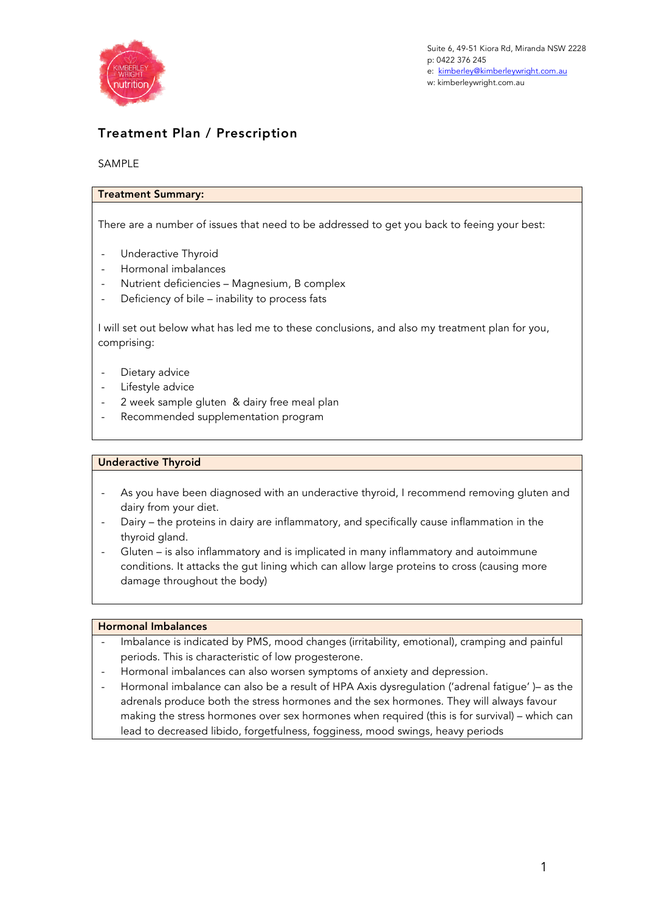

# Treatment Plan / Prescription

# SAMPLE

# Treatment Summary:

There are a number of issues that need to be addressed to get you back to feeing your best:

- Underactive Thyroid
- Hormonal imbalances
- Nutrient deficiencies Magnesium, B complex
- Deficiency of bile inability to process fats

I will set out below what has led me to these conclusions, and also my treatment plan for you, comprising:

- Dietary advice
- Lifestyle advice
- 2 week sample gluten & dairy free meal plan
- Recommended supplementation program

## Underactive Thyroid

- As you have been diagnosed with an underactive thyroid, I recommend removing gluten and dairy from your diet.
- Dairy the proteins in dairy are inflammatory, and specifically cause inflammation in the thyroid gland.
- Gluten is also inflammatory and is implicated in many inflammatory and autoimmune conditions. It attacks the gut lining which can allow large proteins to cross (causing more damage throughout the body)

## Hormonal Imbalances

- Imbalance is indicated by PMS, mood changes (irritability, emotional), cramping and painful periods. This is characteristic of low progesterone.
- Hormonal imbalances can also worsen symptoms of anxiety and depression.
- Hormonal imbalance can also be a result of HPA Axis dysregulation ('adrenal fatigue' )– as the adrenals produce both the stress hormones and the sex hormones. They will always favour making the stress hormones over sex hormones when required (this is for survival) – which can lead to decreased libido, forgetfulness, fogginess, mood swings, heavy periods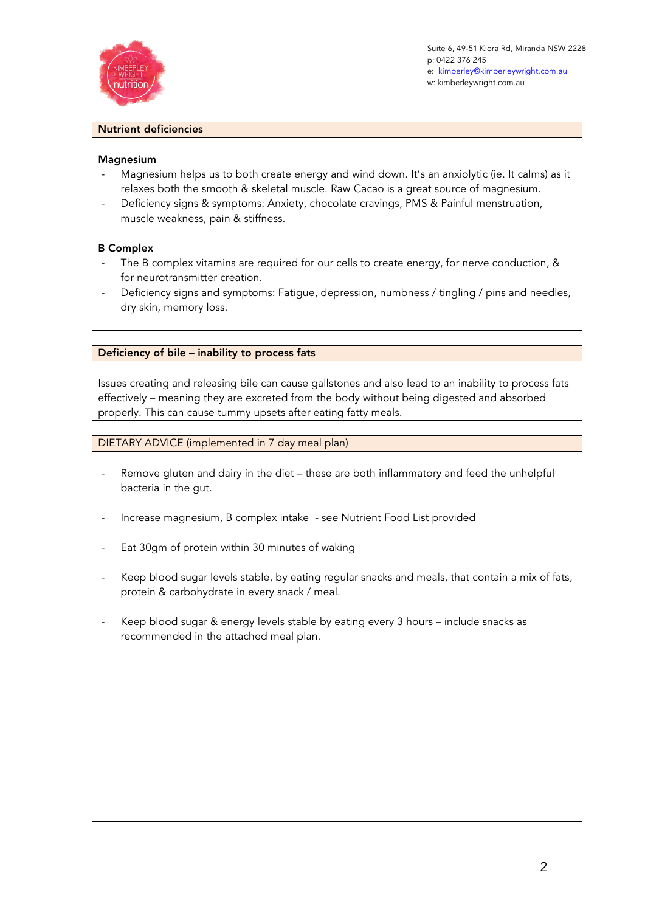

Suite 6, 49-51 Kiora Rd, Miranda NSW 2228 p: 0422 376 245 e: kimberley@kimberleywright.com.au w: kimberleywright.com.au

## Nutrient deficiencies

## Magnesium

- Magnesium helps us to both create energy and wind down. It's an anxiolytic (ie. It calms) as it relaxes both the smooth & skeletal muscle. Raw Cacao is a great source of magnesium.
- Deficiency signs & symptoms: Anxiety, chocolate cravings, PMS & Painful menstruation, muscle weakness, pain & stiffness.

## B Complex

- The B complex vitamins are required for our cells to create energy, for nerve conduction, & for neurotransmitter creation.
- Deficiency signs and symptoms: Fatigue, depression, numbness / tingling / pins and needles, dry skin, memory loss.

## Deficiency of bile – inability to process fats

Issues creating and releasing bile can cause gallstones and also lead to an inability to process fats effectively – meaning they are excreted from the body without being digested and absorbed properly. This can cause tummy upsets after eating fatty meals.

DIETARY ADVICE (implemented in 7 day meal plan)

- Remove gluten and dairy in the diet these are both inflammatory and feed the unhelpful bacteria in the gut.
- Increase magnesium, B complex intake see Nutrient Food List provided
- Eat 30gm of protein within 30 minutes of waking
- Keep blood sugar levels stable, by eating regular snacks and meals, that contain a mix of fats, protein & carbohydrate in every snack / meal.
- Keep blood sugar & energy levels stable by eating every 3 hours include snacks as recommended in the attached meal plan.